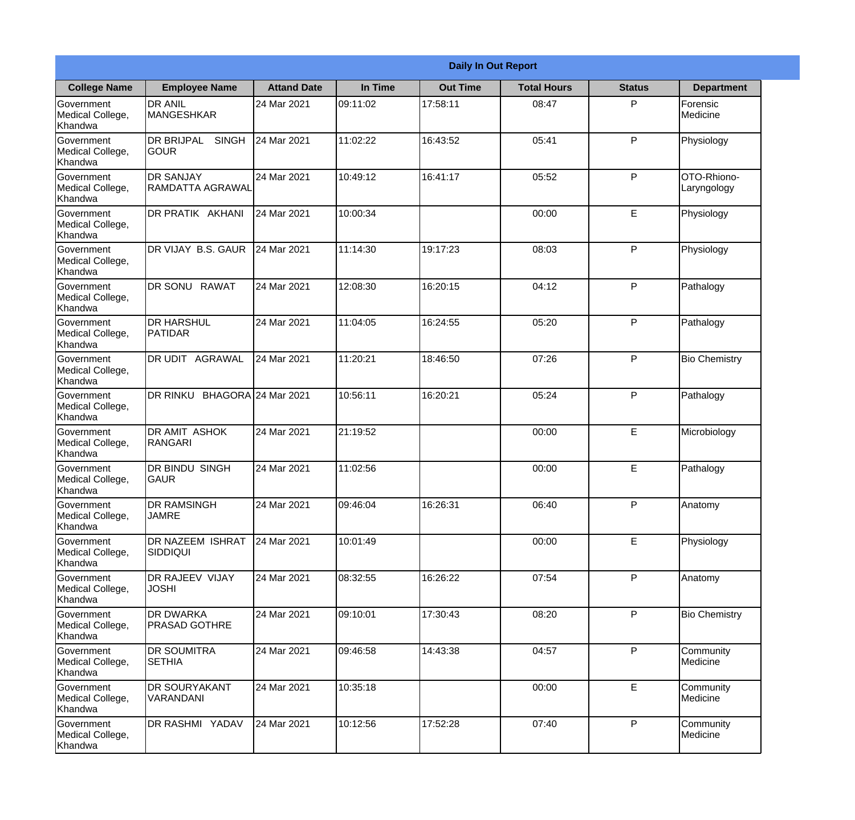|                                                  |                                                  |                     |          | <b>Daily In Out Report</b> |                    |               |                            |
|--------------------------------------------------|--------------------------------------------------|---------------------|----------|----------------------------|--------------------|---------------|----------------------------|
| <b>College Name</b>                              | <b>Employee Name</b>                             | <b>Attand Date</b>  | In Time  | <b>Out Time</b>            | <b>Total Hours</b> | <b>Status</b> | <b>Department</b>          |
| Government<br>Medical College,<br>Khandwa        | <b>DR ANIL</b><br><b>MANGESHKAR</b>              | 24 Mar 2021         | 09:11:02 | 17:58:11                   | 08:47              | P             | Forensic<br>Medicine       |
| Government<br>Medical College,<br>Khandwa        | <b>DR BRIJPAL</b><br><b>SINGH</b><br><b>GOUR</b> | 24 Mar 2021         | 11:02:22 | 16:43:52                   | 05:41              | P             | Physiology                 |
| <b>Government</b><br>Medical College,<br>Khandwa | <b>DR SANJAY</b><br>RAMDATTA AGRAWAL             | 24 Mar 2021         | 10:49:12 | 16:41:17                   | 05:52              | P             | OTO-Rhiono-<br>Laryngology |
| Government<br>Medical College,<br>Khandwa        | DR PRATIK AKHANI                                 | 24 Mar 2021         | 10:00:34 |                            | 00:00              | E             | Physiology                 |
| Government<br>Medical College,<br>Khandwa        | DR VIJAY B.S. GAUR                               | 24 Mar 2021         | 11:14:30 | 19:17:23                   | 08:03              | P             | Physiology                 |
| Government<br>Medical College,<br>Khandwa        | DR SONU RAWAT                                    | 24 Mar 2021         | 12:08:30 | 16:20:15                   | 04:12              | P             | Pathalogy                  |
| <b>Government</b><br>Medical College,<br>Khandwa | <b>DR HARSHUL</b><br><b>PATIDAR</b>              | 24 Mar 2021         | 11:04:05 | 16:24:55                   | 05:20              | P             | Pathalogy                  |
| Government<br>Medical College,<br>Khandwa        | DR UDIT AGRAWAL                                  | 24 Mar 2021         | 11:20:21 | 18:46:50                   | 07:26              | P             | <b>Bio Chemistry</b>       |
| Government<br>Medical College,<br>Khandwa        | DR RINKU                                         | BHAGORA 24 Mar 2021 | 10:56:11 | 16:20:21                   | 05:24              | P             | Pathalogy                  |
| Government<br>Medical College,<br>Khandwa        | <b>DR AMIT ASHOK</b><br><b>RANGARI</b>           | 24 Mar 2021         | 21:19:52 |                            | 00:00              | E             | Microbiology               |
| Government<br>Medical College,<br>Khandwa        | <b>DR BINDU SINGH</b><br><b>GAUR</b>             | 24 Mar 2021         | 11:02:56 |                            | 00:00              | E             | Pathalogy                  |
| Government<br>Medical College,<br>Khandwa        | <b>DR RAMSINGH</b><br><b>JAMRE</b>               | 24 Mar 2021         | 09:46:04 | 16:26:31                   | 06:40              | P             | Anatomy                    |
| Government<br>Medical College,<br>Khandwa        | <b>DR NAZEEM ISHRAT</b><br><b>SIDDIQUI</b>       | 24 Mar 2021         | 10:01:49 |                            | 00:00              | E             | Physiology                 |
| Government<br>Medical College,<br>Khandwa        | DR RAJEEV VIJAY<br><b>JOSHI</b>                  | 24 Mar 2021         | 08:32:55 | 16:26:22                   | 07:54              | P             | Anatomy                    |
| Government<br>Medical College,<br>Khandwa        | <b>DR DWARKA</b><br><b>PRASAD GOTHRE</b>         | 24 Mar 2021         | 09:10:01 | 17:30:43                   | 08:20              | P             | <b>Bio Chemistry</b>       |
| Government<br>Medical College,<br>Khandwa        | <b>DR SOUMITRA</b><br><b>SETHIA</b>              | 24 Mar 2021         | 09:46:58 | 14:43:38                   | 04:57              | P             | Community<br>Medicine      |
| Government<br>Medical College,<br>Khandwa        | <b>IDR SOURYAKANT</b><br>VARANDANI               | 24 Mar 2021         | 10:35:18 |                            | 00:00              | E             | Community<br>Medicine      |
| Government<br>Medical College,<br>Khandwa        | DR RASHMI YADAV                                  | 24 Mar 2021         | 10:12:56 | 17:52:28                   | 07:40              | P             | Community<br>Medicine      |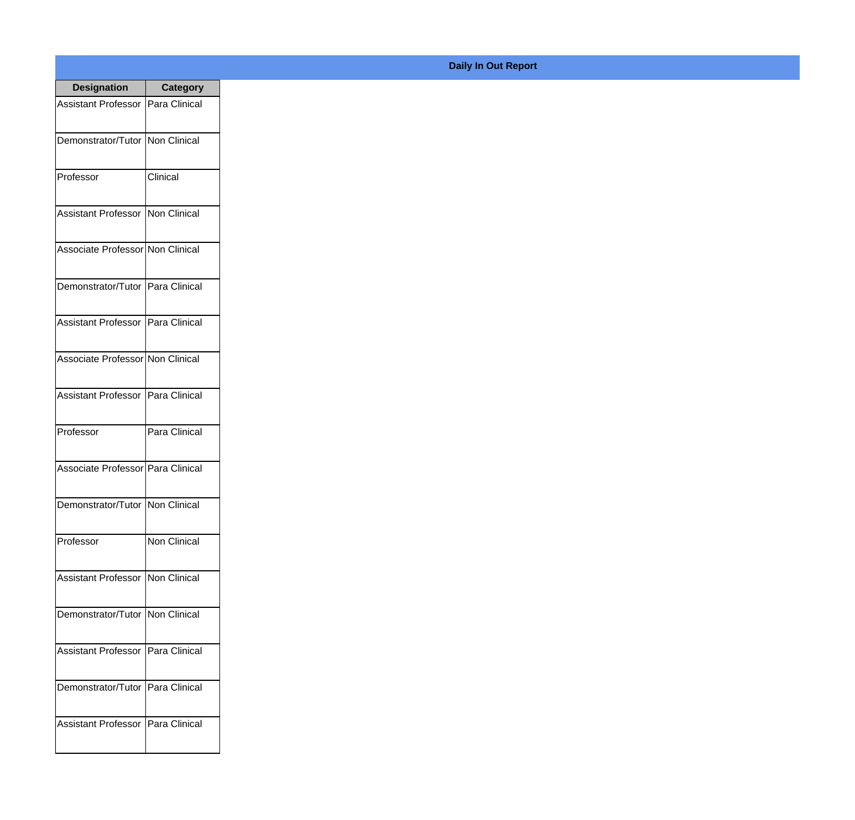| <b>Designation</b>                  | <b>Category</b>      |
|-------------------------------------|----------------------|
| Assistant Professor   Para Clinical |                      |
| Demonstrator/Tutor   Non Clinical   |                      |
| Professor                           | Clinical             |
| Assistant Professor   Non Clinical  |                      |
| Associate Professor Non Clinical    |                      |
| Demonstrator/Tutor   Para Clinical  |                      |
| Assistant Professor   Para Clinical |                      |
| Associate Professor Non Clinical    |                      |
| Assistant Professor   Para Clinical |                      |
| Professor                           | Para Clinical        |
| Associate Professor Para Clinical   |                      |
| Demonstrator/Tutor   Non Clinical   |                      |
| Professor                           | <b>Non Clinical</b>  |
| Assistant Professor   Non Clinical  |                      |
| Demonstrator/Tutor   Non Clinical   |                      |
| <b>Assistant Professor</b>          | Para Clinical        |
| Demonstrator/Tutor                  | <b>Para Clinical</b> |
| <b>Assistant Professor</b>          | Para Clinical        |

## **Daily In Out Report**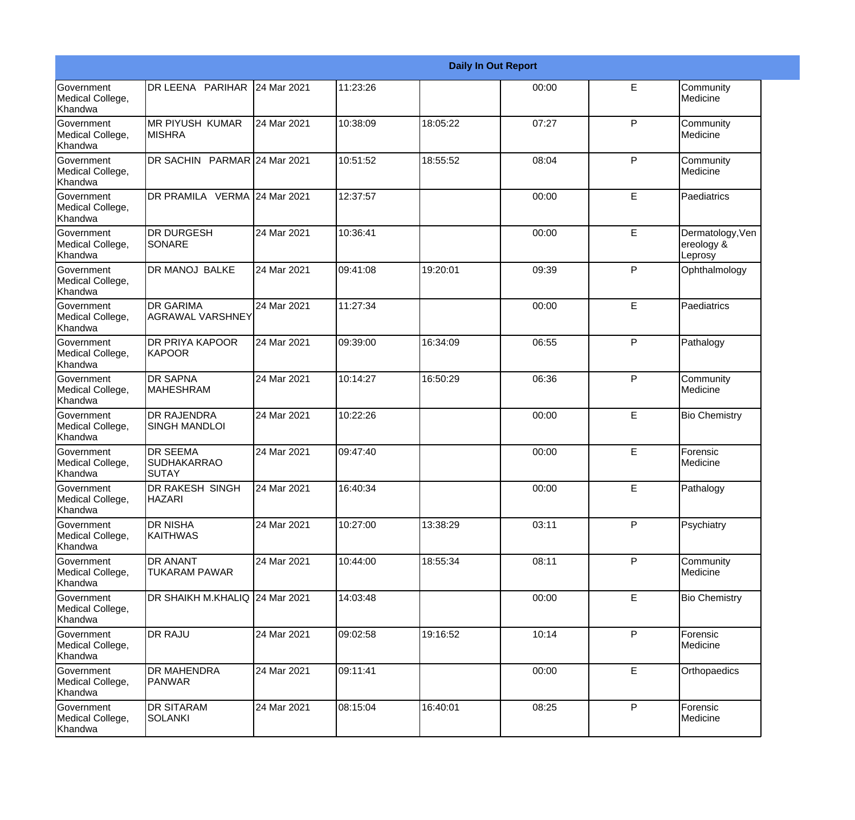|                                                  |                                                |             |          |          | <b>Daily In Out Report</b> |              |                                           |
|--------------------------------------------------|------------------------------------------------|-------------|----------|----------|----------------------------|--------------|-------------------------------------------|
| <b>Government</b><br>Medical College,<br>Khandwa | DR LEENA PARIHAR                               | 24 Mar 2021 | 11:23:26 |          | 00:00                      | E            | Community<br>Medicine                     |
| <b>Government</b><br>Medical College,<br>Khandwa | <b>MR PIYUSH KUMAR</b><br><b>MISHRA</b>        | 24 Mar 2021 | 10:38:09 | 18:05:22 | 07:27                      | $\mathsf{P}$ | Community<br>Medicine                     |
| <b>Government</b><br>Medical College,<br>Khandwa | DR SACHIN PARMAR 24 Mar 2021                   |             | 10:51:52 | 18:55:52 | 08:04                      | P            | Community<br>Medicine                     |
| <b>Government</b><br>Medical College,<br>Khandwa | DR PRAMILA VERMA 24 Mar 2021                   |             | 12:37:57 |          | 00:00                      | E            | Paediatrics                               |
| Government<br>Medical College,<br>Khandwa        | <b>DR DURGESH</b><br><b>SONARE</b>             | 24 Mar 2021 | 10:36:41 |          | 00:00                      | E            | Dermatology, Ven<br>ereology &<br>Leprosy |
| <b>Government</b><br>Medical College,<br>Khandwa | <b>DR MANOJ BALKE</b>                          | 24 Mar 2021 | 09:41:08 | 19:20:01 | 09:39                      | P            | Ophthalmology                             |
| <b>Government</b><br>Medical College,<br>Khandwa | <b>DR GARIMA</b><br>AGRAWAL VARSHNEY           | 24 Mar 2021 | 11:27:34 |          | 00:00                      | E            | Paediatrics                               |
| Government<br>Medical College,<br>Khandwa        | <b>DR PRIYA KAPOOR</b><br><b>KAPOOR</b>        | 24 Mar 2021 | 09:39:00 | 16:34:09 | 06:55                      | P            | Pathalogy                                 |
| <b>Government</b><br>Medical College,<br>Khandwa | <b>DR SAPNA</b><br><b>MAHESHRAM</b>            | 24 Mar 2021 | 10:14:27 | 16:50:29 | 06:36                      | $\mathsf{P}$ | Community<br>Medicine                     |
| <b>Government</b><br>Medical College,<br>Khandwa | <b>DR RAJENDRA</b><br><b>SINGH MANDLOI</b>     | 24 Mar 2021 | 10:22:26 |          | 00:00                      | E            | <b>Bio Chemistry</b>                      |
| Government<br>Medical College,<br>Khandwa        | <b>DR SEEMA</b><br><b>SUDHAKARRAO</b><br>SUTAY | 24 Mar 2021 | 09:47:40 |          | 00:00                      | E            | Forensic<br>Medicine                      |
| Government<br>Medical College,<br>Khandwa        | <b>DR RAKESH SINGH</b><br><b>HAZARI</b>        | 24 Mar 2021 | 16:40:34 |          | 00:00                      | E            | Pathalogy                                 |
| Government<br>Medical College,<br>Khandwa        | <b>DR NISHA</b><br><b>KAITHWAS</b>             | 24 Mar 2021 | 10:27:00 | 13:38:29 | 03:11                      | P            | Psychiatry                                |
| Government<br>Medical College,<br>Khandwa        | <b>DR ANANT</b><br>TUKARAM PAWAR               | 24 Mar 2021 | 10:44:00 | 18:55:34 | 08:11                      | P            | Community<br>Medicine                     |
| Government<br>Medical College,<br>Khandwa        | DR SHAIKH M.KHALIQ 24 Mar 2021                 |             | 14:03:48 |          | 00:00                      | E            | <b>Bio Chemistry</b>                      |
| Government<br>Medical College,<br>Khandwa        | <b>DR RAJU</b>                                 | 24 Mar 2021 | 09:02:58 | 19:16:52 | 10:14                      | P            | Forensic<br>Medicine                      |
| Government<br>Medical College,<br>Khandwa        | <b>DR MAHENDRA</b><br>PANWAR                   | 24 Mar 2021 | 09:11:41 |          | 00:00                      | E            | Orthopaedics                              |
| Government<br>Medical College,<br>Khandwa        | <b>DR SITARAM</b><br><b>SOLANKI</b>            | 24 Mar 2021 | 08:15:04 | 16:40:01 | 08:25                      | $\mathsf{P}$ | Forensic<br>Medicine                      |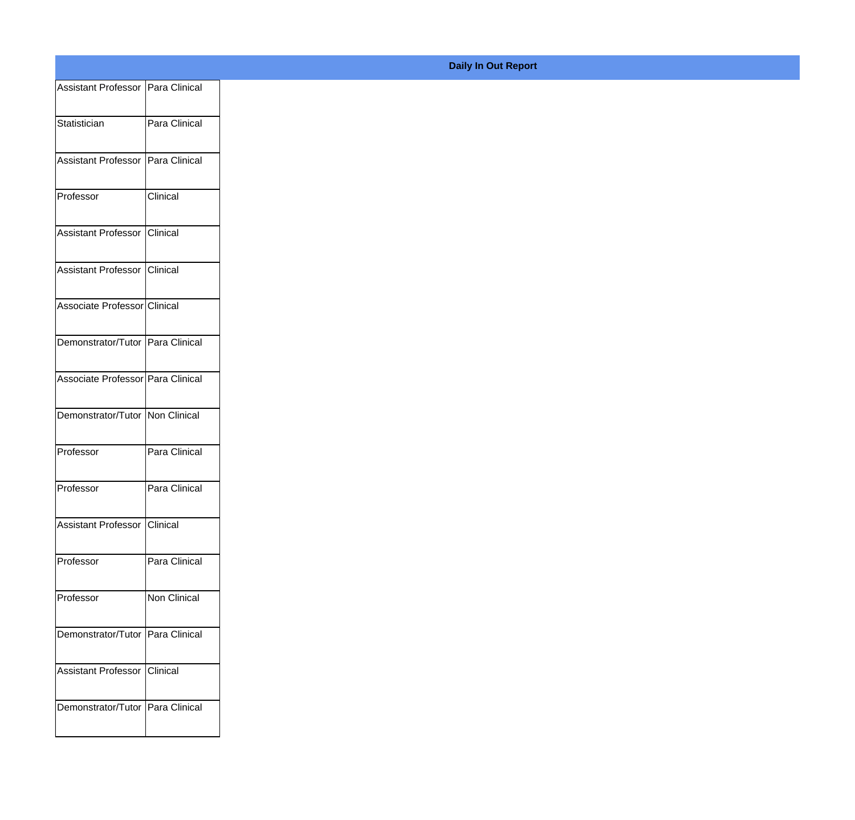| Assistant Professor   Para Clinical |
|-------------------------------------|
| Para Clinical                       |
|                                     |
| Assistant Professor Para Clinical   |
| Clinical                            |
| Assistant Professor Clinical        |
| Assistant Professor Clinical        |
| Associate Professor Clinical        |
| Demonstrator/Tutor Para Clinical    |
| Associate Professor Para Clinical   |
|                                     |
| Demonstrator/Tutor Non Clinical     |
| Para Clinical                       |
| Para Clinical                       |
| Assistant Professor Clinical        |
| Para Clinical                       |
| Non Clinical                        |
|                                     |
| Demonstrator/Tutor Para Clinical    |
| Assistant Professor Clinical        |
| Demonstrator/Tutor Para Clinical    |
|                                     |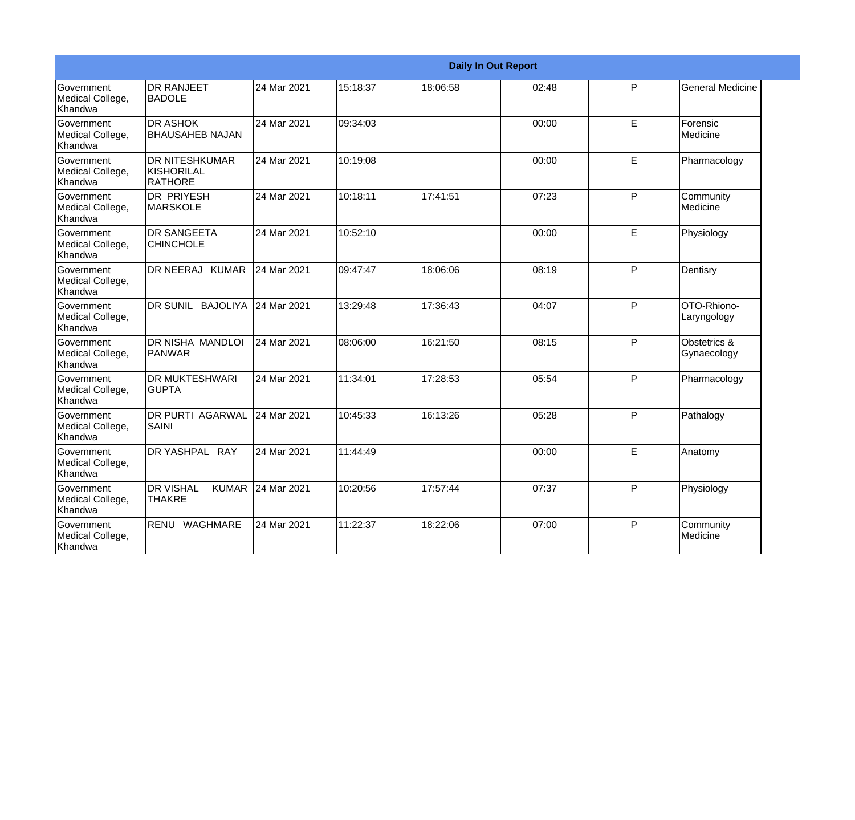|                                           |                                                   |             |          | <b>Daily In Out Report</b> |       |           |                             |
|-------------------------------------------|---------------------------------------------------|-------------|----------|----------------------------|-------|-----------|-----------------------------|
| Government<br>Medical College,<br>Khandwa | <b>DR RANJEET</b><br><b>BADOLE</b>                | 24 Mar 2021 | 15:18:37 | 18:06:58                   | 02:48 | P         | <b>General Medicine</b>     |
| Government<br>Medical College,<br>Khandwa | <b>DR ASHOK</b><br><b>BHAUSAHEB NAJAN</b>         | 24 Mar 2021 | 09:34:03 |                            | 00:00 | E         | Forensic<br>Medicine        |
| Government<br>Medical College,<br>Khandwa | <b>DR NITESHKUMAR</b><br>KISHORILAL<br>RATHORE    | 24 Mar 2021 | 10:19:08 |                            | 00:00 | E         | Pharmacology                |
| Government<br>Medical College,<br>Khandwa | <b>DR PRIYESH</b><br>MARSKOLE                     | 24 Mar 2021 | 10:18:11 | 17:41:51                   | 07:23 | ${\sf P}$ | Community<br>Medicine       |
| Government<br>Medical College,<br>Khandwa | <b>DR SANGEETA</b><br><b>CHINCHOLE</b>            | 24 Mar 2021 | 10:52:10 |                            | 00:00 | E         | Physiology                  |
| Government<br>Medical College,<br>Khandwa | DR NEERAJ KUMAR                                   | 24 Mar 2021 | 09:47:47 | 18:06:06                   | 08:19 | P         | Dentisry                    |
| Government<br>Medical College,<br>Khandwa | DR SUNIL BAJOLIYA                                 | 24 Mar 2021 | 13:29:48 | 17:36:43                   | 04:07 | P         | OTO-Rhiono-<br>Laryngology  |
| Government<br>Medical College,<br>Khandwa | <b>DR NISHA MANDLOI</b><br>PANWAR                 | 24 Mar 2021 | 08:06:00 | 16:21:50                   | 08:15 | P         | Obstetrics &<br>Gynaecology |
| Government<br>Medical College,<br>Khandwa | <b>DR MUKTESHWARI</b><br><b>GUPTA</b>             | 24 Mar 2021 | 11:34:01 | 17:28:53                   | 05:54 | P         | Pharmacology                |
| Government<br>Medical College,<br>Khandwa | <b>DR PURTI AGARWAL</b><br><b>SAINI</b>           | 24 Mar 2021 | 10:45:33 | 16:13:26                   | 05:28 | P         | Pathalogy                   |
| Government<br>Medical College,<br>Khandwa | DR YASHPAL RAY                                    | 24 Mar 2021 | 11:44:49 |                            | 00:00 | E         | Anatomy                     |
| Government<br>Medical College,<br>Khandwa | <b>DR VISHAL</b><br><b>KUMAR</b><br><b>THAKRE</b> | 24 Mar 2021 | 10:20:56 | 17:57:44                   | 07:37 | P         | Physiology                  |
| Government<br>Medical College,<br>Khandwa | RENU<br><b>WAGHMARE</b>                           | 24 Mar 2021 | 11:22:37 | 18:22:06                   | 07:00 | P         | Community<br>Medicine       |